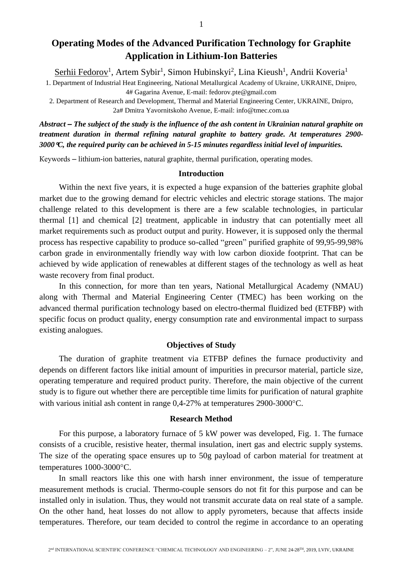# **Operating Modes of the Advanced Purification Technology for Graphite Application in Lithium-Ion Batteries**

Serhii Fedorov<sup>1</sup>, Artem Sybir<sup>1</sup>, Simon Hubinskyi<sup>2</sup>, Lina Kieush<sup>1</sup>, Andrii Koveria<sup>1</sup>

1. Department of Industrial Heat Engineering, National Metallurgical Academy of Ukraine, UKRAINE, Dnipro, 4# Gagarina Avenue, E-mail: fedorov.pte@gmail.com

2. Department of Research and Development, Thermal and Material Engineering Center, UKRAINE, Dnipro, 2a# Dmitra Yavornitskoho Avenue, E-mail: info@tmec.com.ua

*Abstract – The subject of the study is the influence of the ash content in Ukrainian natural graphite on treatment duration in thermal refining natural graphite to battery grade. At temperatures 2900- 3000C, the required purity can be achieved in 5-15 minutes regardless initial level of impurities.*

Кеуwords – lithium-ion batteries, natural graphite, thermal purification, operating modes.

#### **Introduction**

Within the next five years, it is expected a huge expansion of the batteries graphite global market due to the growing demand for electric vehicles and electric storage stations. The major challenge related to this development is there are a few scalable technologies, in particular thermal [1] and chemical [2] treatment, applicable in industry that can potentially meet all market requirements such as product output and purity. However, it is supposed only the thermal process has respective capability to produce so-called "green" purified graphite of 99,95-99,98% carbon grade in environmentally friendly way with low carbon dioxide footprint. That can be achieved by wide application of renewables at different stages of the technology as well as heat waste recovery from final product.

In this connection, for more than ten years, National Metallurgical Academy (NMAU) along with Thermal and Material Engineering Center (TMEC) has been working on the advanced thermal purification technology based on electro-thermal fluidized bed (ETFBP) with specific focus on product quality, energy consumption rate and environmental impact to surpass existing analogues.

# **Objectives of Study**

The duration of graphite treatment via ETFBP defines the furnace productivity and depends on different factors like initial amount of impurities in precursor material, particle size, operating temperature and required product purity. Therefore, the main objective of the current study is to figure out whether there are perceptible time limits for purification of natural graphite with various initial ash content in range 0,4-27% at temperatures 2900-3000°C.

## **Research Method**

For this purpose, a laboratory furnace of 5 kW power was developed, Fig. 1. The furnace consists of a crucible, resistive heater, thermal insulation, inert gas and electric supply systems. The size of the operating space ensures up to 50g payload of carbon material for treatment at temperatures 1000-3000°C.

In small reactors like this one with harsh inner environment, the issue of temperature measurement methods is crucial. Thermo-couple sensors do not fit for this purpose and can be installed only in isulation. Thus, they would not transmit accurate data on real state of a sample. On the other hand, heat losses do not allow to apply pyrometers, because that affects inside temperatures. Therefore, our team decided to control the regime in accordance to an operating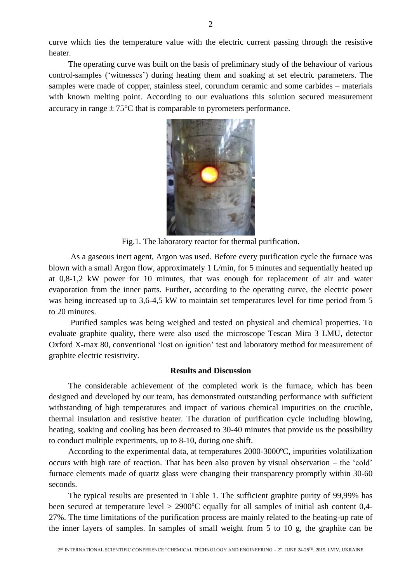curve which ties the temperature value with the electric current passing through the resistive heater.

The operating curve was built on the basis of preliminary study of the behaviour of various control-samples ('witnesses') during heating them and soaking at set electric parameters. The samples were made of copper, stainless steel, corundum ceramic and some carbides – materials with known melting point. According to our evaluations this solution secured measurement accuracy in range  $\pm 75^{\circ}$ C that is comparable to pyrometers performance.



Fig.1. The laboratory reactor for thermal purification.

As a gaseous inert agent, Argon was used. Before every purification cycle the furnace was blown with a small Argon flow, approximately 1 L/min, for 5 minutes and sequentially heated up at 0,8-1,2 kW power for 10 minutes, that was enough for replacement of air and water evaporation from the inner parts. Further, according to the operating curve, the electric power was being increased up to 3.6-4.5 kW to maintain set temperatures level for time period from 5 to 20 minutes.

Purified samples was being weighed and tested on physical and chemical properties. To evaluate graphite quality, there were also used the microscope Tescan Mira 3 LMU, detector Oxford X-max 80, conventional 'lost on ignition' test and laboratory method for measurement of graphite electric resistivity.

# **Results and Discussion**

The considerable achievement of the completed work is the furnace, which has been designed and developed by our team, has demonstrated outstanding performance with sufficient withstanding of high temperatures and impact of various chemical impurities on the crucible, thermal insulation and resistive heater. The duration of purification cycle including blowing, heating, soaking and cooling has been decreased to 30-40 minutes that provide us the possibility to conduct multiple experiments, up to 8-10, during one shift.

According to the experimental data, at temperatures  $2000-3000^{\circ}$ C, impurities volatilization occurs with high rate of reaction. That has been also proven by visual observation – the 'cold' furnace elements made of quartz glass were changing their transparency promptly within 30-60 seconds.

The typical results are presented in Table 1. The sufficient graphite purity of 99,99% has been secured at temperature level  $> 2900^{\circ}$ C equally for all samples of initial ash content 0,4-27%. The time limitations of the purification process are mainly related to the heating-up rate of the inner layers of samples. In samples of small weight from 5 to 10 g, the graphite can be